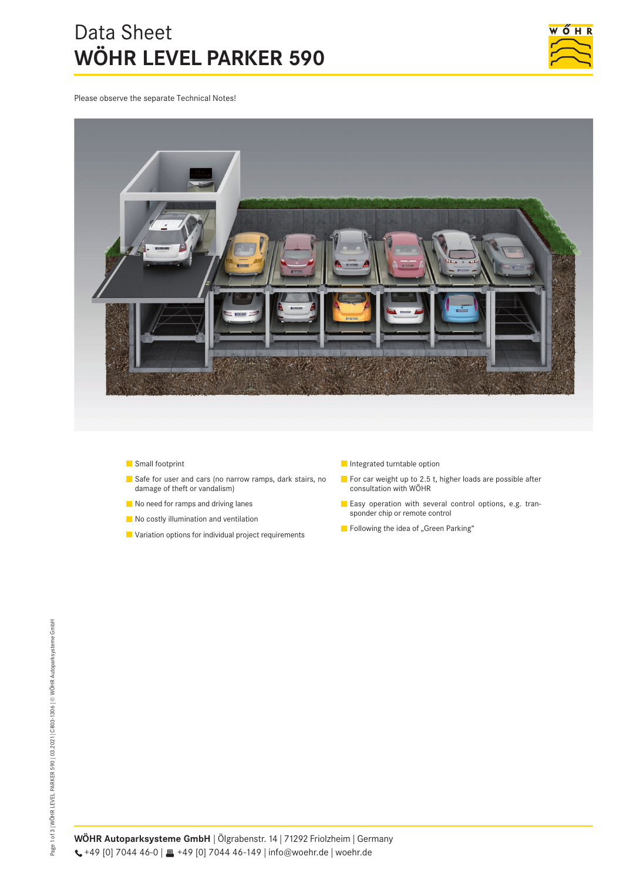# Data Sheet **WÖHR LEVEL PARKER 590**



Please observe the separate Technical Notes!



- **Small footprint**
- Safe for user and cars (no narrow ramps, dark stairs, no damage of theft or vandalism)
- No need for ramps and driving lanes
- No costly illumination and ventilation
- **Variation options for individual project requirements**
- **Integrated turntable option**
- For car weight up to 2.5 t, higher loads are possible after consultation with WÖHR
- Easy operation with several control options, e.g. transponder chip or remote control
- $\blacksquare$  Following the idea of "Green Parking"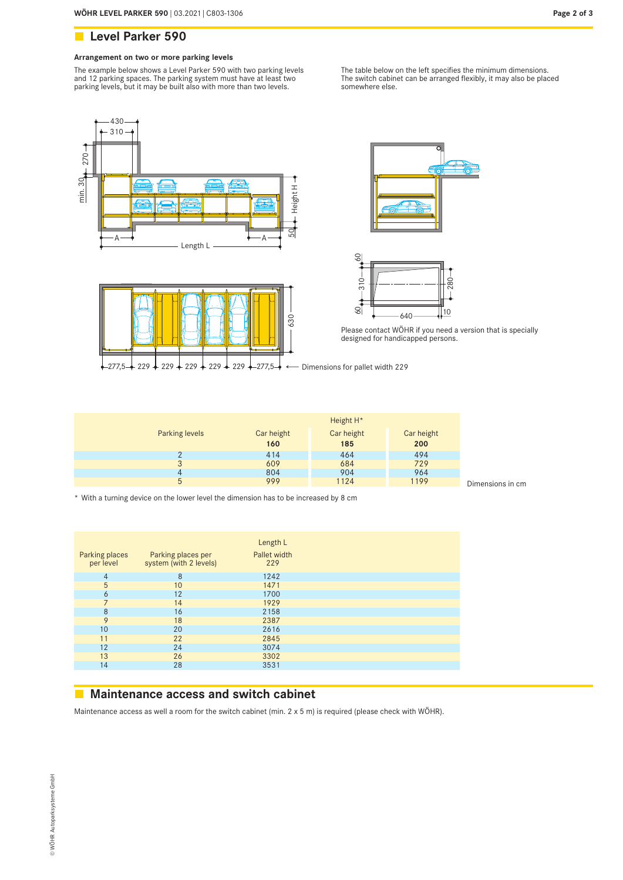### **Arrangement on two or more parking levels**

The example below shows a Level Parker 590 with two parking levels and 12 parking spaces. The parking system must have at least two parking levels, but it may be built also with more than two levels.

The table below on the left specifies the minimum dimensions. The switch cabinet can be arranged flexibly, it may also be placed somewhere else.









Please contact WÖHR if you need a version that is specially designed for handicapped persons.

|                | Height H <sup>*</sup> |            |            |
|----------------|-----------------------|------------|------------|
| Parking levels | Car height            | Car height | Car height |
|                | 160                   | 185        | 200        |
|                | 414                   | 464        | 494        |
| 3              | 609                   | 684        | 729        |
| 4              | 804                   | 904        | 964        |
| 5              | 999                   | 1124       | 1199       |

Dimensions in cm

\* With a turning device on the lower level the dimension has to be increased by 8 cm

| Parking places<br>per level | Parking places per<br>system (with 2 levels) | Length L<br>Pallet width<br>229 |
|-----------------------------|----------------------------------------------|---------------------------------|
| 4                           | 8                                            | 1242                            |
| 5                           | 10                                           | 1471                            |
| 6                           | 12                                           | 1700                            |
| $\overline{7}$              | 14                                           | 1929                            |
| 8                           | 16                                           | 2158                            |
| 9                           | 18                                           | 2387                            |
| 10                          | 20                                           | 2616                            |
| 11                          | 22                                           | 2845                            |
| 12                          | 24                                           | 3074                            |
| 13                          | 26                                           | 3302                            |
| 14                          | 28                                           | 3531                            |
|                             |                                              |                                 |

## **Maintenance access and switch cabinet**

Maintenance access as well a room for the switch cabinet (min. 2 x 5 m) is required (please check with WÖHR).